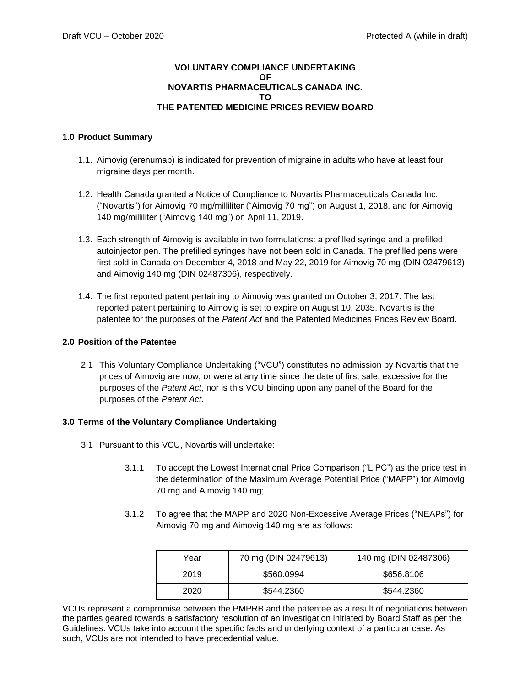## **VOLUNTARY COMPLIANCE UNDERTAKING OF NOVARTIS PHARMACEUTICALS CANADA INC. TO THE PATENTED MEDICINE PRICES REVIEW BOARD**

## **1.0 Product Summary**

- 1.1. Aimovig (erenumab) is indicated for prevention of migraine in adults who have at least four migraine days per month.
- 1.2. Health Canada granted a Notice of Compliance to Novartis Pharmaceuticals Canada Inc. ("Novartis") for Aimovig 70 mg/milliliter ("Aimovig 70 mg") on August 1, 2018, and for Aimovig 140 mg/milliliter ("Aimovig 140 mg") on April 11, 2019.
- 1.3. Each strength of Aimovig is available in two formulations: a prefilled syringe and a prefilled autoinjector pen. The prefilled syringes have not been sold in Canada. The prefilled pens were first sold in Canada on December 4, 2018 and May 22, 2019 for Aimovig 70 mg (DIN 02479613) and Aimovig 140 mg (DIN 02487306), respectively.
- 1.4. The first reported patent pertaining to Aimovig was granted on October 3, 2017. The last reported patent pertaining to Aimovig is set to expire on August 10, 2035. Novartis is the patentee for the purposes of the *Patent Act* and the Patented Medicines Prices Review Board.

## **2.0 Position of the Patentee**

2.1 This Voluntary Compliance Undertaking ("VCU") constitutes no admission by Novartis that the prices of Aimovig are now, or were at any time since the date of first sale, excessive for the purposes of the *Patent Act*, nor is this VCU binding upon any panel of the Board for the purposes of the *Patent Act*.

## **3.0 Terms of the Voluntary Compliance Undertaking**

- 3.1 Pursuant to this VCU, Novartis will undertake:
	- 3.1.1 To accept the Lowest International Price Comparison ("LIPC") as the price test in the determination of the Maximum Average Potential Price ("MAPP") for Aimovig 70 mg and Aimovig 140 mg;
	- 3.1.2 To agree that the MAPP and 2020 Non-Excessive Average Prices ("NEAPs") for Aimovig 70 mg and Aimovig 140 mg are as follows:

| Year | 70 mg (DIN 02479613) | 140 mg (DIN 02487306) |
|------|----------------------|-----------------------|
| 2019 | \$560.0994           | \$656,8106            |
| 2020 | \$544.2360           | \$544.2360            |

VCUs represent a compromise between the PMPRB and the patentee as a result of negotiations between the parties geared towards a satisfactory resolution of an investigation initiated by Board Staff as per the Guidelines. VCUs take into account the specific facts and underlying context of a particular case. As such, VCUs are not intended to have precedential value.